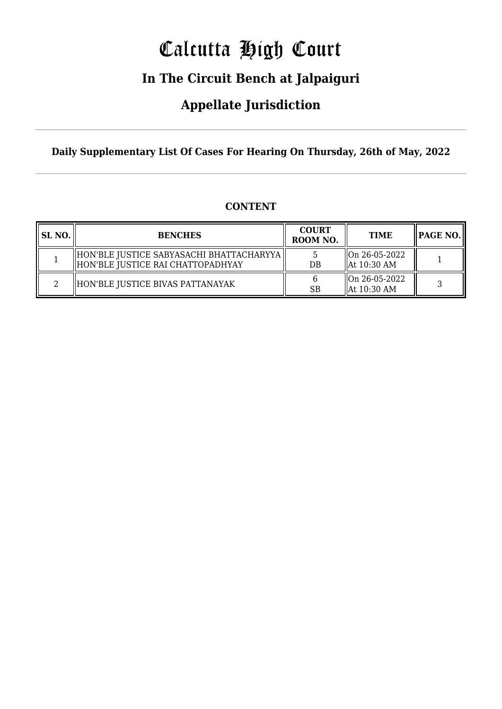# Calcutta High Court

## **In The Circuit Bench at Jalpaiguri**

### **Appellate Jurisdiction**

**Daily Supplementary List Of Cases For Hearing On Thursday, 26th of May, 2022**

| SL NO. | <b>BENCHES</b>                                                                   | <b>COURT</b><br>ROOM NO. | <b>TIME</b>                                                   | <b>PAGE NO.</b> |
|--------|----------------------------------------------------------------------------------|--------------------------|---------------------------------------------------------------|-----------------|
|        | HON'BLE JUSTICE SABYASACHI BHATTACHARYYA   <br>HON'BLE JUSTICE RAI CHATTOPADHYAY | DB                       | $\sqrt{\text{On } 26 - 05 - 2022}$<br>$\parallel$ At 10:30 AM |                 |
|        | HON'BLE JUSTICE BIVAS PATTANAYAK                                                 | SB                       | $\sqrt{\text{On } 26 - 05 - 2022}$<br>$\parallel$ At 10:30 AM |                 |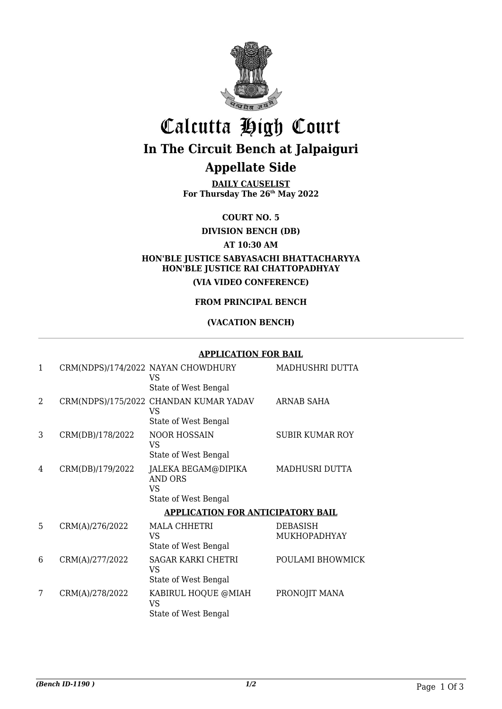

## Calcutta High Court **In The Circuit Bench at Jalpaiguri**

### **Appellate Side**

**DAILY CAUSELIST For Thursday The 26th May 2022**

**COURT NO. 5**

**DIVISION BENCH (DB)**

#### **AT 10:30 AM**

#### **HON'BLE JUSTICE SABYASACHI BHATTACHARYYA HON'BLE JUSTICE RAI CHATTOPADHYAY (VIA VIDEO CONFERENCE)**

#### **FROM PRINCIPAL BENCH**

#### **(VACATION BENCH)**

#### **APPLICATION FOR BAIL**

| $\mathbf{1}$                             |                  | CRM(NDPS)/174/2022 NAYAN CHOWDHURY<br>VS                | MADHUSHRI DUTTA          |  |  |  |
|------------------------------------------|------------------|---------------------------------------------------------|--------------------------|--|--|--|
|                                          |                  | State of West Bengal                                    |                          |  |  |  |
| $\overline{2}$                           |                  | CRM(NDPS)/175/2022 CHANDAN KUMAR YADAV<br>VS            | ARNAB SAHA               |  |  |  |
|                                          |                  | State of West Bengal                                    |                          |  |  |  |
| 3                                        | CRM(DB)/178/2022 | <b>NOOR HOSSAIN</b><br>VS                               | <b>SUBIR KUMAR ROY</b>   |  |  |  |
|                                          |                  | State of West Bengal                                    |                          |  |  |  |
| 4                                        | CRM(DB)/179/2022 | JALEKA BEGAM@DIPIKA<br><b>AND ORS</b><br>VS             | <b>MADHUSRI DUTTA</b>    |  |  |  |
|                                          |                  | State of West Bengal                                    |                          |  |  |  |
| <b>APPLICATION FOR ANTICIPATORY BAIL</b> |                  |                                                         |                          |  |  |  |
| 5                                        | CRM(A)/276/2022  | <b>MALA CHHETRI</b><br>VS<br>State of West Bengal       | DEBASISH<br>MUKHOPADHYAY |  |  |  |
| 6                                        | CRM(A)/277/2022  | <b>SAGAR KARKI CHETRI</b><br>VS<br>State of West Bengal | POULAMI BHOWMICK         |  |  |  |
| 7                                        | CRM(A)/278/2022  | KABIRUL HOQUE @MIAH<br>VS<br>State of West Bengal       | PRONOJIT MANA            |  |  |  |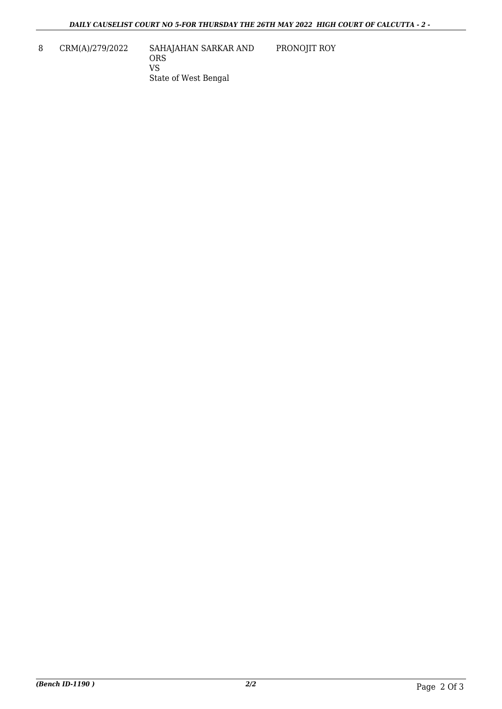8 CRM(A)/279/2022 SAHAJAHAN SARKAR AND ORS VS State of West Bengal PRONOJIT ROY